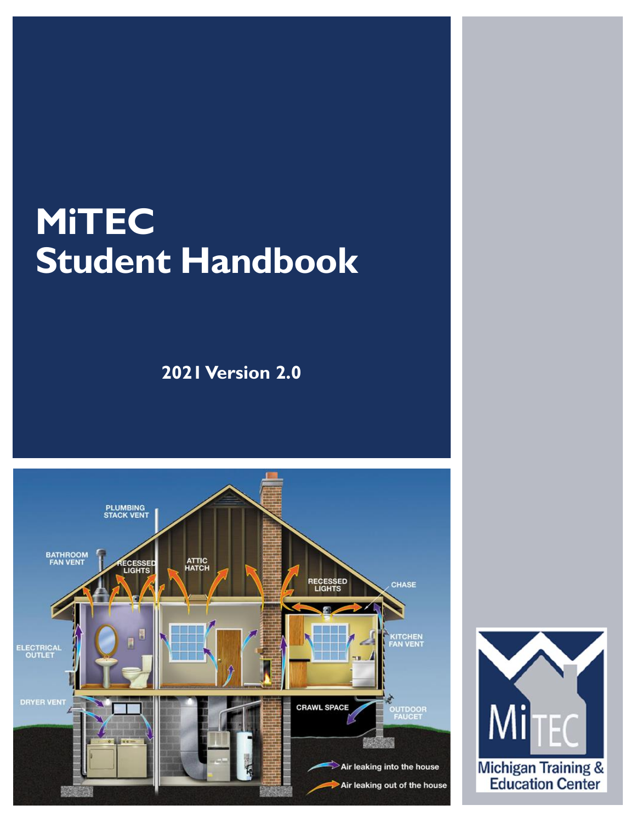# **MiTEC Student Handbook**

**2021 Version 2.0**



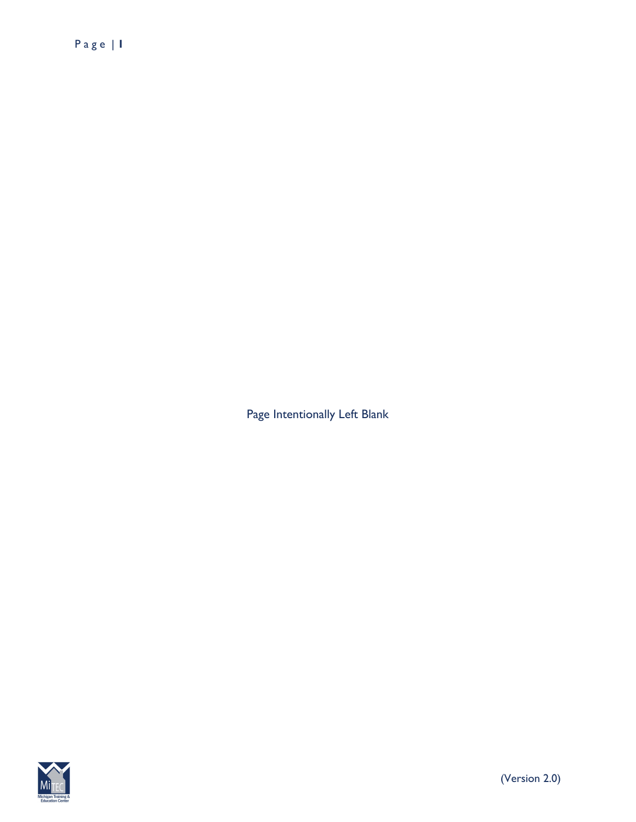# P a g e | **1**

Page Intentionally Left Blank

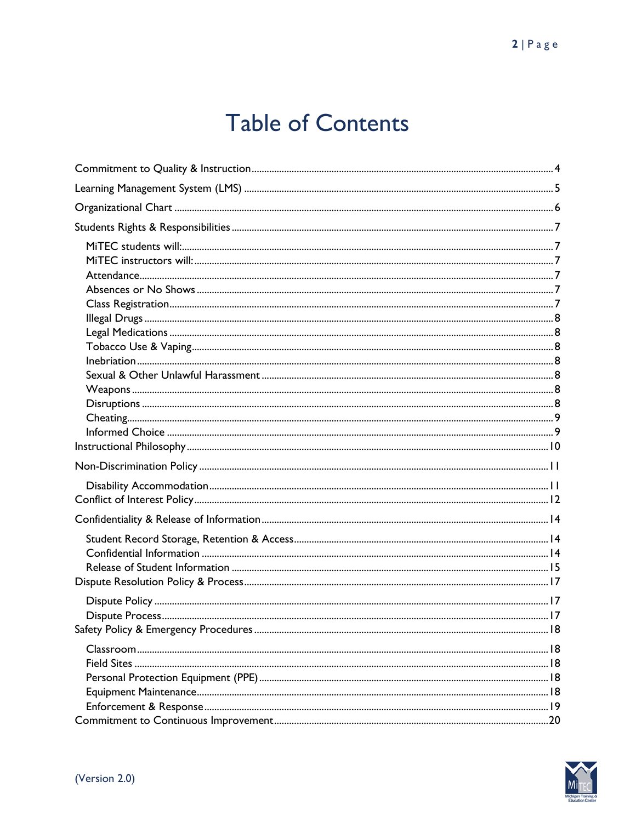# **Table of Contents**

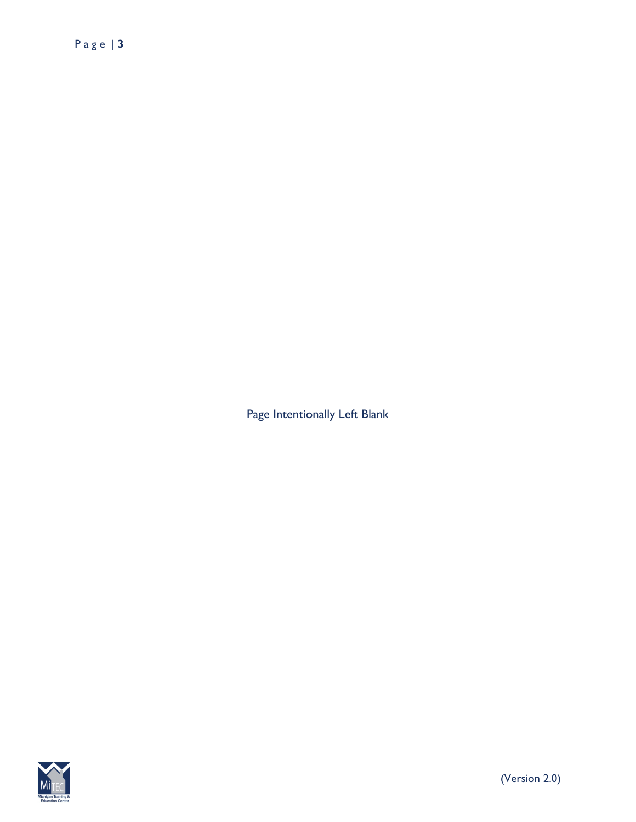# P a g e | **3**

Page Intentionally Left Blank

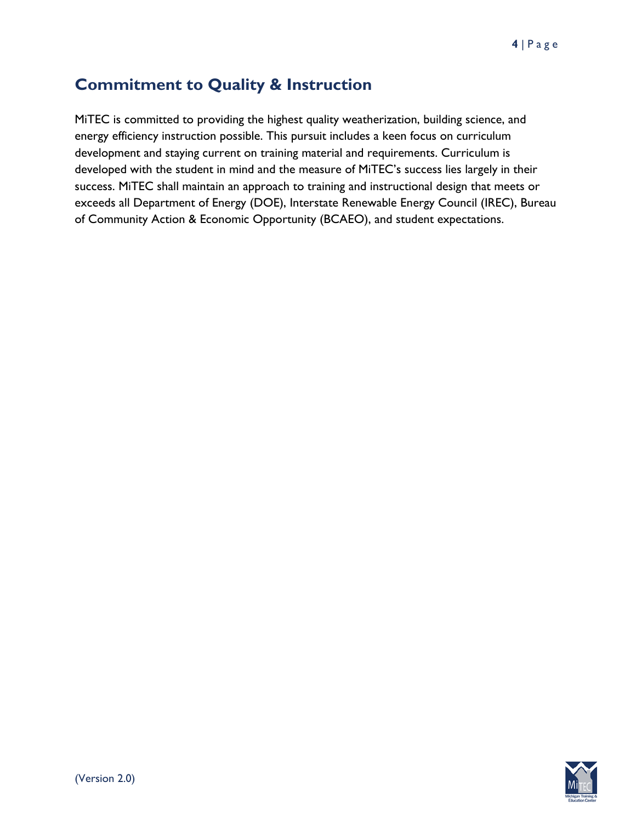# <span id="page-4-0"></span>**Commitment to Quality & Instruction**

MiTEC is committed to providing the highest quality weatherization, building science, and energy efficiency instruction possible. This pursuit includes a keen focus on curriculum development and staying current on training material and requirements. Curriculum is developed with the student in mind and the measure of MiTEC's success lies largely in their success. MiTEC shall maintain an approach to training and instructional design that meets or exceeds all Department of Energy (DOE), Interstate Renewable Energy Council (IREC), Bureau of Community Action & Economic Opportunity (BCAEO), and student expectations.

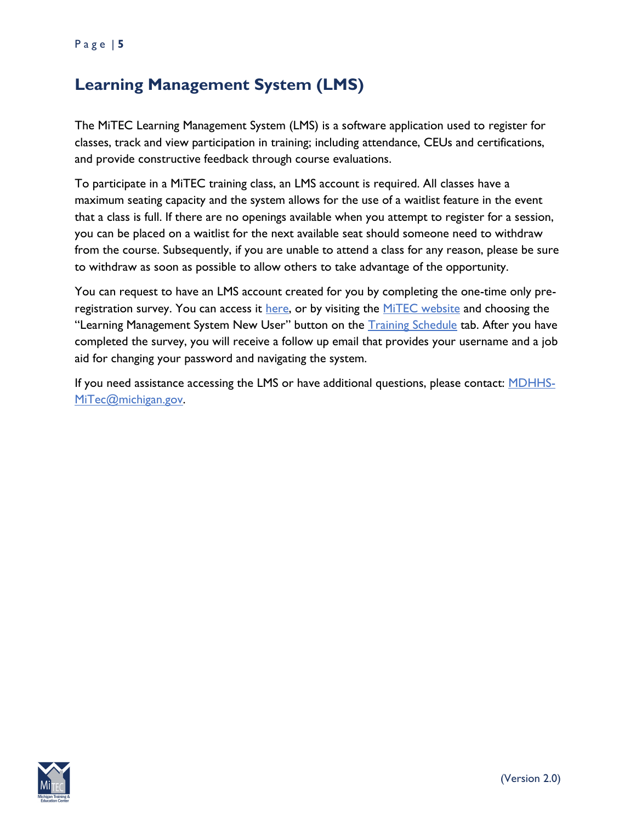# <span id="page-5-0"></span>**Learning Management System (LMS)**

The MiTEC Learning Management System (LMS) is a software application used to register for classes, track and view participation in training; including attendance, CEUs and certifications, and provide constructive feedback through course evaluations.

To participate in a MiTEC training class, an LMS account is required. All classes have a maximum seating capacity and the system allows for the use of a waitlist feature in the event that a class is full. If there are no openings available when you attempt to register for a session, you can be placed on a waitlist for the next available seat should someone need to withdraw from the course. Subsequently, if you are unable to attend a class for any reason, please be sure to withdraw as soon as possible to allow others to take advantage of the opportunity.

You can request to have an LMS account created for you by completing the one-time only preregistration survey. You can access it [here,](https://www.surveymonkey.com/r/KR266Q6) or by visiting the MITEC website and choosing the "Learning Management System New User" button on the **[Training Schedule](https://gcc01.safelinks.protection.outlook.com/?url=https%3A%2F%2Fwww.michigantec.org%2Fabout&data=02%7C01%7CBiddleJ1%40michigan.gov%7C6c215f8a1dc34cf4a5b108d79eab3e80%7Cd5fb7087377742ad966a892ef47225d1%7C0%7C0%7C637152330631444063&sdata=tBJx3EOvAqNAtLtsVjSDCz4aDsA%2FthEVe78p5At6FM4%3D&reserved=0) tab. After you have** completed the survey, you will receive a follow up email that provides your username and a job aid for changing your password and navigating the system.

If you need assistance accessing the LMS or have additional questions, please contact: [MDHHS-](mailto:MDHHS-MiTec@michigan.gov)[MiTec@michigan.gov.](mailto:MDHHS-MiTec@michigan.gov)

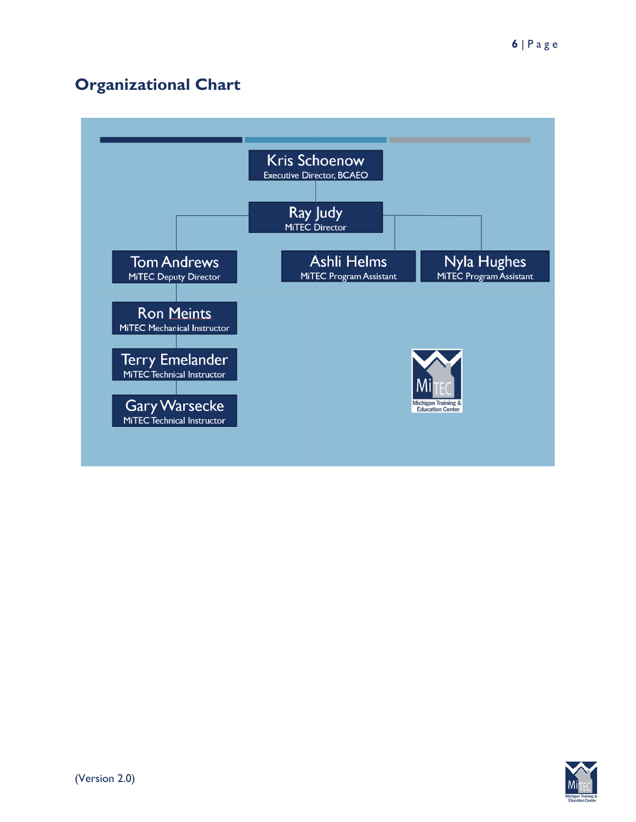# <span id="page-6-0"></span>**Organizational Chart**



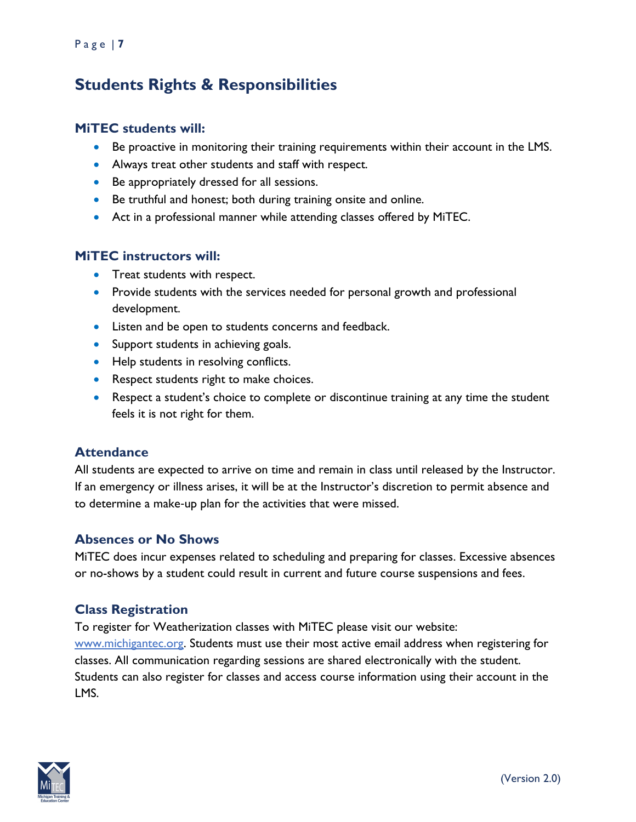# <span id="page-7-0"></span>**Students Rights & Responsibilities**

## <span id="page-7-1"></span>**MiTEC students will:**

- Be proactive in monitoring their training requirements within their account in the LMS.
- Always treat other students and staff with respect.
- Be appropriately dressed for all sessions.
- Be truthful and honest; both during training onsite and online.
- Act in a professional manner while attending classes offered by MiTEC.

## <span id="page-7-2"></span>**MiTEC instructors will:**

- **•** Treat students with respect.
- Provide students with the services needed for personal growth and professional development.
- Listen and be open to students concerns and feedback.
- Support students in achieving goals.
- Help students in resolving conflicts.
- Respect students right to make choices.
- Respect a student's choice to complete or discontinue training at any time the student feels it is not right for them.

# <span id="page-7-3"></span>**Attendance**

All students are expected to arrive on time and remain in class until released by the Instructor. If an emergency or illness arises, it will be at the Instructor's discretion to permit absence and to determine a make‐up plan for the activities that were missed.

#### <span id="page-7-4"></span>**Absences or No Shows**

MiTEC does incur expenses related to scheduling and preparing for classes. Excessive absences or no-shows by a student could result in current and future course suspensions and fees.

# <span id="page-7-5"></span>**Class Registration**

To register for Weatherization classes with MiTEC please visit our website: [www.michigantec.org.](http://www.michigantec.org/) Students must use their most active email address when registering for classes. All communication regarding sessions are shared electronically with the student. Students can also register for classes and access course information using their account in the LMS.

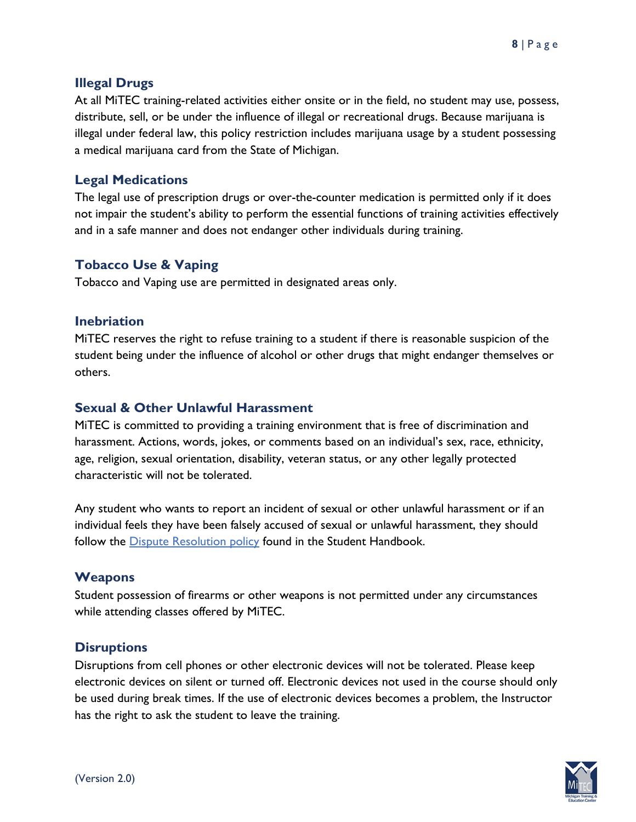## <span id="page-8-0"></span>**Illegal Drugs**

At all MiTEC training-related activities either onsite or in the field, no student may use, possess, distribute, sell, or be under the influence of illegal or recreational drugs. Because marijuana is illegal under federal law, this policy restriction includes marijuana usage by a student possessing a medical marijuana card from the State of Michigan.

## <span id="page-8-1"></span>**Legal Medications**

The legal use of prescription drugs or over-the-counter medication is permitted only if it does not impair the student's ability to perform the essential functions of training activities effectively and in a safe manner and does not endanger other individuals during training.

## <span id="page-8-2"></span>**Tobacco Use & Vaping**

Tobacco and Vaping use are permitted in designated areas only.

#### <span id="page-8-3"></span>**Inebriation**

MiTEC reserves the right to refuse training to a student if there is reasonable suspicion of the student being under the influence of alcohol or other drugs that might endanger themselves or others.

#### <span id="page-8-4"></span>**Sexual & Other Unlawful Harassment**

MiTEC is committed to providing a training environment that is free of discrimination and harassment. Actions, words, jokes, or comments based on an individual's sex, race, ethnicity, age, religion, sexual orientation, disability, veteran status, or any other legally protected characteristic will not be tolerated.

Any student who wants to report an incident of sexual or other unlawful harassment or if an individual feels they have been falsely accused of sexual or unlawful harassment, they should follow the **[Dispute Resolution policy](#page-17-0)** found in the Student Handbook.

#### <span id="page-8-5"></span>**Weapons**

Student possession of firearms or other weapons is not permitted under any circumstances while attending classes offered by MiTEC.

#### <span id="page-8-6"></span>**Disruptions**

Disruptions from cell phones or other electronic devices will not be tolerated. Please keep electronic devices on silent or turned off. Electronic devices not used in the course should only be used during break times. If the use of electronic devices becomes a problem, the Instructor has the right to ask the student to leave the training.

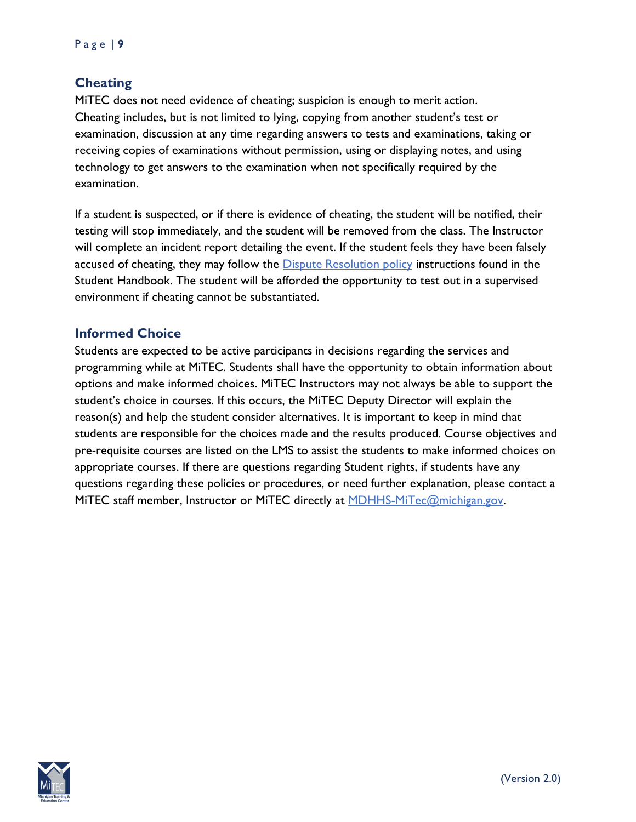# <span id="page-9-0"></span>**Cheating**

MiTEC does not need evidence of cheating; suspicion is enough to merit action. Cheating includes, but is not limited to lying, copying from another student's test or examination, discussion at any time regarding answers to tests and examinations, taking or receiving copies of examinations without permission, using or displaying notes, and using technology to get answers to the examination when not specifically required by the examination.

If a student is suspected, or if there is evidence of cheating, the student will be notified, their testing will stop immediately, and the student will be removed from the class. The Instructor will complete an incident report detailing the event. If the student feels they have been falsely accused of cheating, they may follow the [Dispute Resolution policy](#page-17-0) instructions found in the Student Handbook. The student will be afforded the opportunity to test out in a supervised environment if cheating cannot be substantiated.

# <span id="page-9-1"></span>**Informed Choice**

Students are expected to be active participants in decisions regarding the services and programming while at MiTEC. Students shall have the opportunity to obtain information about options and make informed choices. MiTEC Instructors may not always be able to support the student's choice in courses. If this occurs, the MiTEC Deputy Director will explain the reason(s) and help the student consider alternatives. It is important to keep in mind that students are responsible for the choices made and the results produced. Course objectives and pre-requisite courses are listed on the LMS to assist the students to make informed choices on appropriate courses. If there are questions regarding Student rights, if students have any questions regarding these policies or procedures, or need further explanation, please contact a MITEC staff member, Instructor or MITEC directly at MDHHS-MITec@michigan.gov.

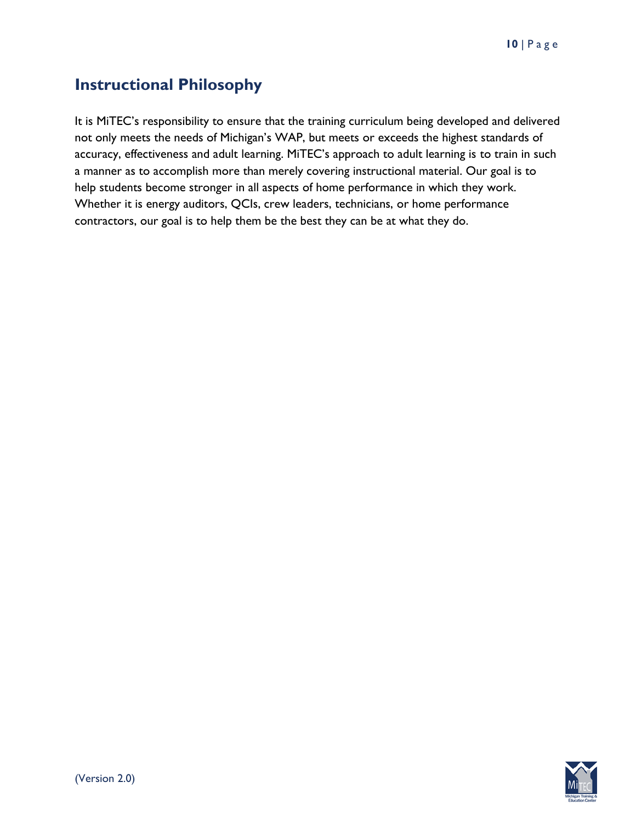# <span id="page-10-0"></span>**Instructional Philosophy**

It is MiTEC's responsibility to ensure that the training curriculum being developed and delivered not only meets the needs of Michigan's WAP, but meets or exceeds the highest standards of accuracy, effectiveness and adult learning. MiTEC's approach to adult learning is to train in such a manner as to accomplish more than merely covering instructional material. Our goal is to help students become stronger in all aspects of home performance in which they work. Whether it is energy auditors, QCIs, crew leaders, technicians, or home performance contractors, our goal is to help them be the best they can be at what they do.

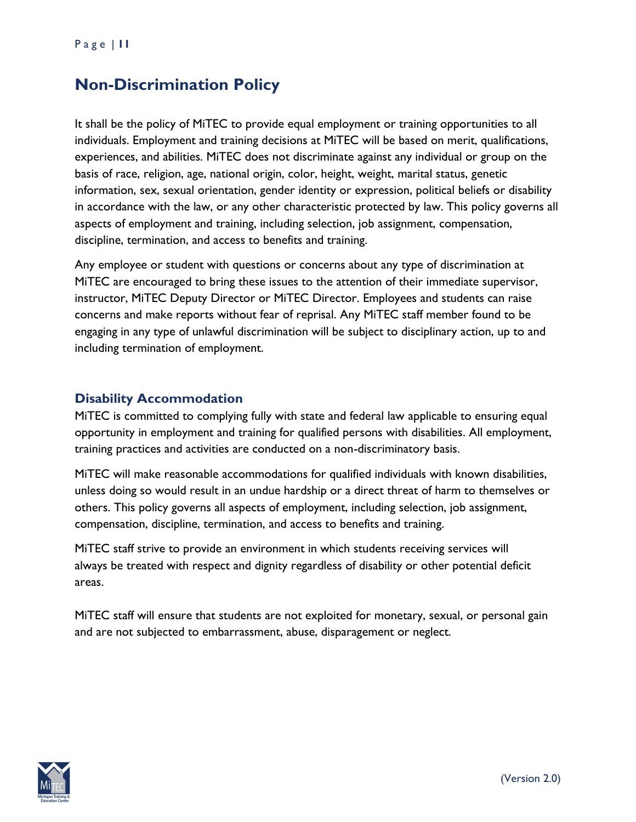# <span id="page-11-0"></span>**Non-Discrimination Policy**

It shall be the policy of MiTEC to provide equal employment or training opportunities to all individuals. Employment and training decisions at MiTEC will be based on merit, qualifications, experiences, and abilities. MiTEC does not discriminate against any individual or group on the basis of race, religion, age, national origin, color, height, weight, marital status, genetic information, sex, sexual orientation, gender identity or expression, political beliefs or disability in accordance with the law, or any other characteristic protected by law. This policy governs all aspects of employment and training, including selection, job assignment, compensation, discipline, termination, and access to benefits and training.

Any employee or student with questions or concerns about any type of discrimination at MiTEC are encouraged to bring these issues to the attention of their immediate supervisor, instructor, MiTEC Deputy Director or MiTEC Director. Employees and students can raise concerns and make reports without fear of reprisal. Any MiTEC staff member found to be engaging in any type of unlawful discrimination will be subject to disciplinary action, up to and including termination of employment.

## <span id="page-11-1"></span>**Disability Accommodation**

MiTEC is committed to complying fully with state and federal law applicable to ensuring equal opportunity in employment and training for qualified persons with disabilities. All employment, training practices and activities are conducted on a non-discriminatory basis.

MiTEC will make reasonable accommodations for qualified individuals with known disabilities, unless doing so would result in an undue hardship or a direct threat of harm to themselves or others. This policy governs all aspects of employment, including selection, job assignment, compensation, discipline, termination, and access to benefits and training.

MiTEC staff strive to provide an environment in which students receiving services will always be treated with respect and dignity regardless of disability or other potential deficit areas.

MiTEC staff will ensure that students are not exploited for monetary, sexual, or personal gain and are not subjected to embarrassment, abuse, disparagement or neglect.

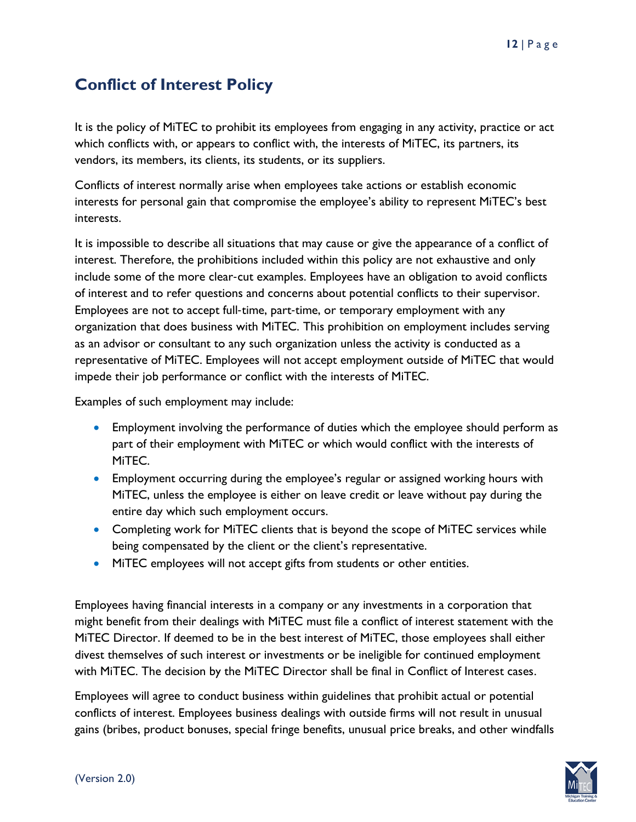# <span id="page-12-0"></span>**Conflict of Interest Policy**

It is the policy of MiTEC to prohibit its employees from engaging in any activity, practice or act which conflicts with, or appears to conflict with, the interests of MiTEC, its partners, its vendors, its members, its clients, its students, or its suppliers.

Conflicts of interest normally arise when employees take actions or establish economic interests for personal gain that compromise the employee's ability to represent MiTEC's best interests.

It is impossible to describe all situations that may cause or give the appearance of a conflict of interest. Therefore, the prohibitions included within this policy are not exhaustive and only include some of the more clear‐cut examples. Employees have an obligation to avoid conflicts of interest and to refer questions and concerns about potential conflicts to their supervisor. Employees are not to accept full-time, part-time, or temporary employment with any organization that does business with MiTEC. This prohibition on employment includes serving as an advisor or consultant to any such organization unless the activity is conducted as a representative of MiTEC. Employees will not accept employment outside of MiTEC that would impede their job performance or conflict with the interests of MiTEC.

Examples of such employment may include:

- Employment involving the performance of duties which the employee should perform as part of their employment with MiTEC or which would conflict with the interests of MiTEC.
- Employment occurring during the employee's regular or assigned working hours with MiTEC, unless the employee is either on leave credit or leave without pay during the entire day which such employment occurs.
- Completing work for MiTEC clients that is beyond the scope of MiTEC services while being compensated by the client or the client's representative.
- MiTEC employees will not accept gifts from students or other entities.

Employees having financial interests in a company or any investments in a corporation that might benefit from their dealings with MiTEC must file a conflict of interest statement with the MiTEC Director. If deemed to be in the best interest of MiTEC, those employees shall either divest themselves of such interest or investments or be ineligible for continued employment with MiTEC. The decision by the MiTEC Director shall be final in Conflict of Interest cases.

Employees will agree to conduct business within guidelines that prohibit actual or potential conflicts of interest. Employees business dealings with outside firms will not result in unusual gains (bribes, product bonuses, special fringe benefits, unusual price breaks, and other windfalls

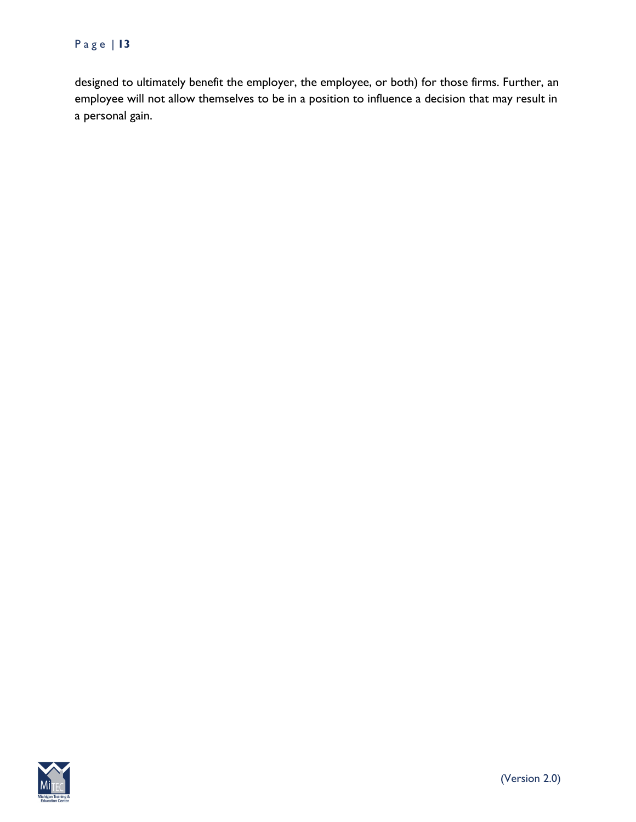# P a g e | **13**

designed to ultimately benefit the employer, the employee, or both) for those firms. Further, an employee will not allow themselves to be in a position to influence a decision that may result in a personal gain.

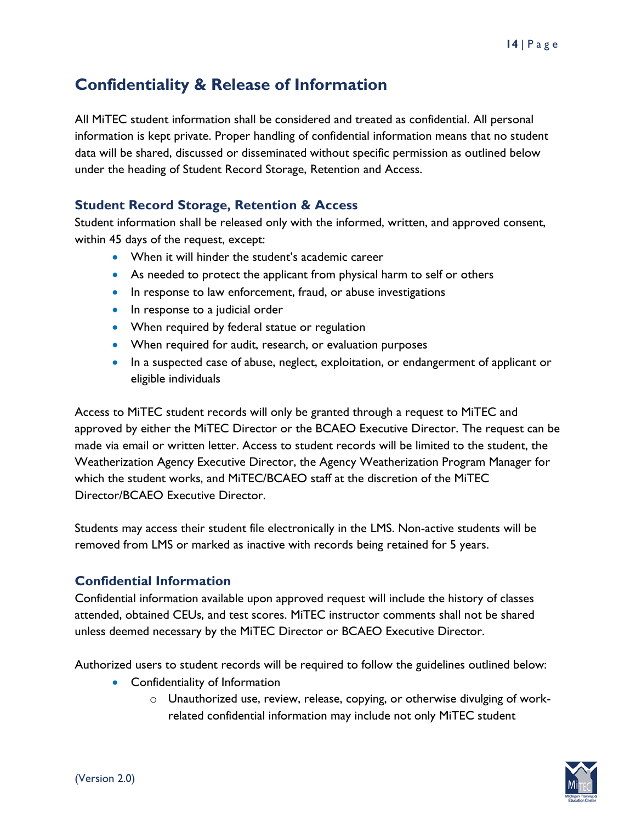# <span id="page-14-0"></span>**Confidentiality & Release of Information**

All MiTEC student information shall be considered and treated as confidential. All personal information is kept private. Proper handling of confidential information means that no student data will be shared, discussed or disseminated without specific permission as outlined below under the heading of Student Record Storage, Retention and Access.

## <span id="page-14-1"></span>**Student Record Storage, Retention & Access**

Student information shall be released only with the informed, written, and approved consent, within 45 days of the request, except:

- When it will hinder the student's academic career
- As needed to protect the applicant from physical harm to self or others
- In response to law enforcement, fraud, or abuse investigations
- In response to a judicial order
- When required by federal statue or regulation
- When required for audit, research, or evaluation purposes
- In a suspected case of abuse, neglect, exploitation, or endangerment of applicant or eligible individuals

Access to MiTEC student records will only be granted through a request to MiTEC and approved by either the MiTEC Director or the BCAEO Executive Director. The request can be made via email or written letter. Access to student records will be limited to the student, the Weatherization Agency Executive Director, the Agency Weatherization Program Manager for which the student works, and MiTEC/BCAEO staff at the discretion of the MiTEC Director/BCAEO Executive Director.

Students may access their student file electronically in the LMS. Non-active students will be removed from LMS or marked as inactive with records being retained for 5 years.

# <span id="page-14-2"></span>**Confidential Information**

Confidential information available upon approved request will include the history of classes attended, obtained CEUs, and test scores. MiTEC instructor comments shall not be shared unless deemed necessary by the MiTEC Director or BCAEO Executive Director.

Authorized users to student records will be required to follow the guidelines outlined below:

- Confidentiality of Information
	- $\circ$  Unauthorized use, review, release, copying, or otherwise divulging of workrelated confidential information may include not only MiTEC student

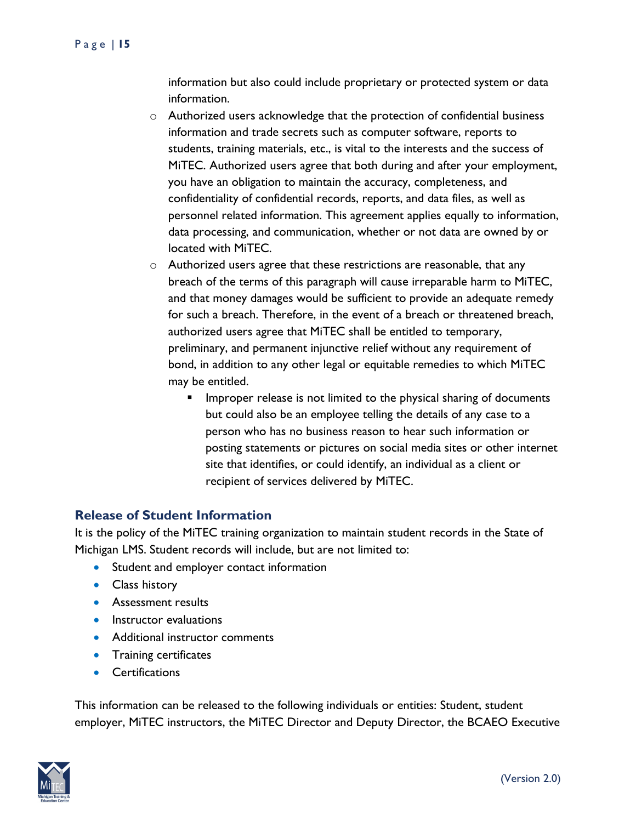P a g e | **15**

information but also could include proprietary or protected system or data information.

- o Authorized users acknowledge that the protection of confidential business information and trade secrets such as computer software, reports to students, training materials, etc., is vital to the interests and the success of MiTEC. Authorized users agree that both during and after your employment, you have an obligation to maintain the accuracy, completeness, and confidentiality of confidential records, reports, and data files, as well as personnel related information. This agreement applies equally to information, data processing, and communication, whether or not data are owned by or located with MiTEC.
- o Authorized users agree that these restrictions are reasonable, that any breach of the terms of this paragraph will cause irreparable harm to MiTEC, and that money damages would be sufficient to provide an adequate remedy for such a breach. Therefore, in the event of a breach or threatened breach, authorized users agree that MiTEC shall be entitled to temporary, preliminary, and permanent injunctive relief without any requirement of bond, in addition to any other legal or equitable remedies to which MiTEC may be entitled.
	- Improper release is not limited to the physical sharing of documents but could also be an employee telling the details of any case to a person who has no business reason to hear such information or posting statements or pictures on social media sites or other internet site that identifies, or could identify, an individual as a client or recipient of services delivered by MiTEC.

# <span id="page-15-0"></span>**Release of Student Information**

It is the policy of the MiTEC training organization to maintain student records in the State of Michigan LMS. Student records will include, but are not limited to:

- Student and employer contact information
- Class history
- Assessment results
- **•** Instructor evaluations
- Additional instructor comments
- Training certificates
- Certifications

This information can be released to the following individuals or entities: Student, student employer, MiTEC instructors, the MiTEC Director and Deputy Director, the BCAEO Executive

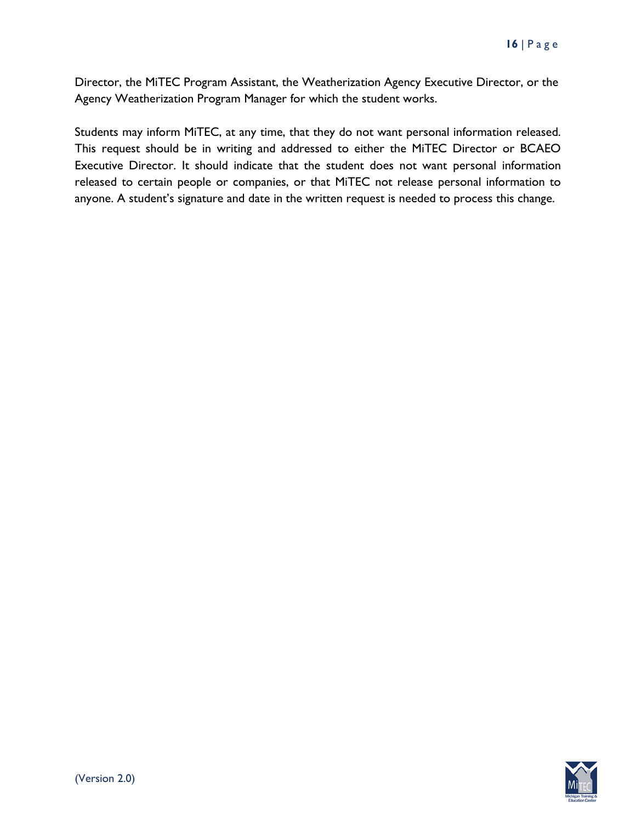Director, the MiTEC Program Assistant, the Weatherization Agency Executive Director, or the Agency Weatherization Program Manager for which the student works.

Students may inform MiTEC, at any time, that they do not want personal information released. This request should be in writing and addressed to either the MiTEC Director or BCAEO Executive Director. It should indicate that the student does not want personal information released to certain people or companies, or that MiTEC not release personal information to anyone. A student's signature and date in the written request is needed to process this change.

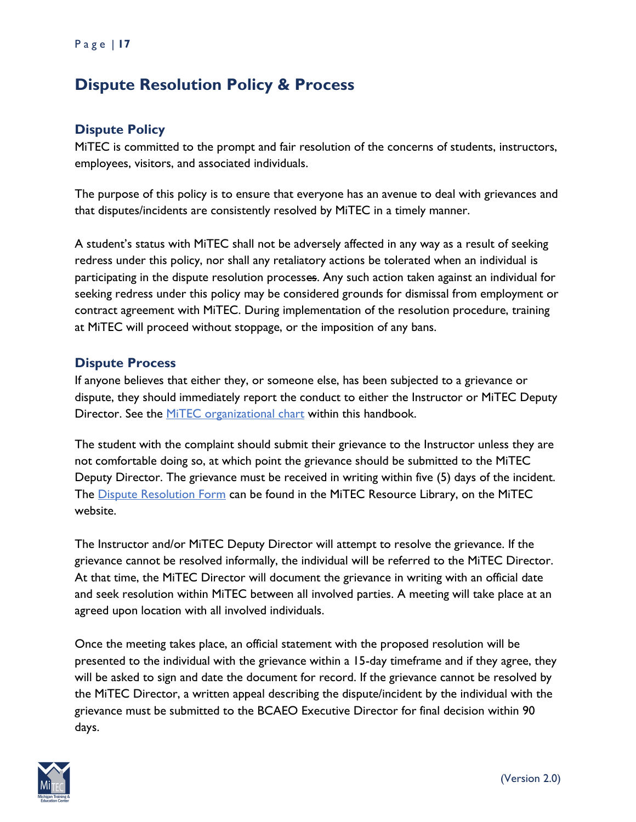# <span id="page-17-0"></span>**Dispute Resolution Policy & Process**

# <span id="page-17-1"></span>**Dispute Policy**

MiTEC is committed to the prompt and fair resolution of the concerns of students, instructors, employees, visitors, and associated individuals.

The purpose of this policy is to ensure that everyone has an avenue to deal with grievances and that disputes/incidents are consistently resolved by MiTEC in a timely manner.

A student's status with MiTEC shall not be adversely affected in any way as a result of seeking redress under this policy, nor shall any retaliatory actions be tolerated when an individual is participating in the dispute resolution processes. Any such action taken against an individual for seeking redress under this policy may be considered grounds for dismissal from employment or contract agreement with MiTEC. During implementation of the resolution procedure, training at MiTEC will proceed without stoppage, or the imposition of any bans.

# <span id="page-17-2"></span>**Dispute Process**

If anyone believes that either they, or someone else, has been subjected to a grievance or dispute, they should immediately report the conduct to either the Instructor or MiTEC Deputy Director. See the [MiTEC organizational chart](#page-6-0) within this handbook.

The student with the complaint should submit their grievance to the Instructor unless they are not comfortable doing so, at which point the grievance should be submitted to the MiTEC Deputy Director. The grievance must be received in writing within five (5) days of the incident. The [Dispute Resolution Form](https://www.michigantec.org/weatherization) can be found in the MiTEC Resource Library, on the MiTEC website.

The Instructor and/or MiTEC Deputy Director will attempt to resolve the grievance. If the grievance cannot be resolved informally, the individual will be referred to the MiTEC Director. At that time, the MiTEC Director will document the grievance in writing with an official date and seek resolution within MiTEC between all involved parties. A meeting will take place at an agreed upon location with all involved individuals.

Once the meeting takes place, an official statement with the proposed resolution will be presented to the individual with the grievance within a 15-day timeframe and if they agree, they will be asked to sign and date the document for record. If the grievance cannot be resolved by the MiTEC Director, a written appeal describing the dispute/incident by the individual with the grievance must be submitted to the BCAEO Executive Director for final decision within 90 days.

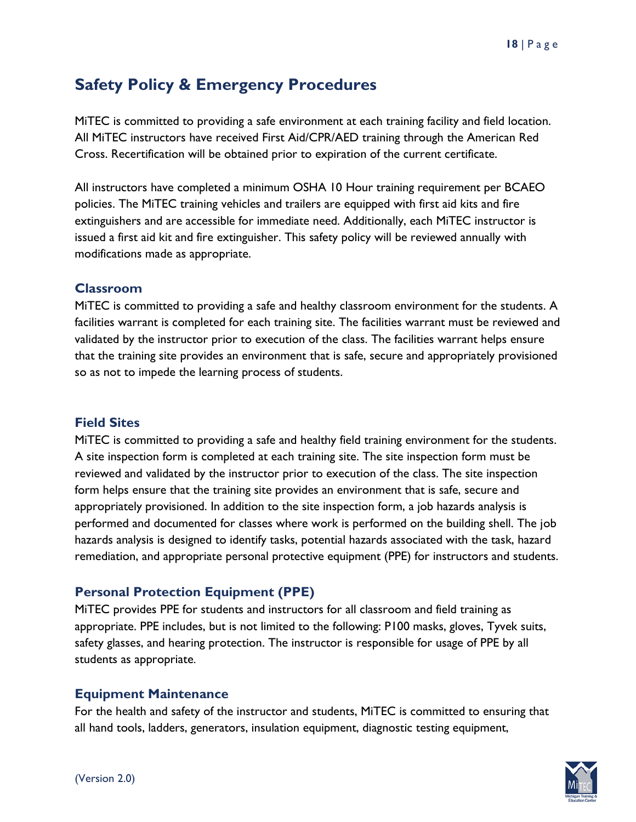# <span id="page-18-0"></span>**Safety Policy & Emergency Procedures**

MiTEC is committed to providing a safe environment at each training facility and field location. All MiTEC instructors have received First Aid/CPR/AED training through the American Red Cross. Recertification will be obtained prior to expiration of the current certificate.

All instructors have completed a minimum OSHA 10 Hour training requirement per BCAEO policies. The MiTEC training vehicles and trailers are equipped with first aid kits and fire extinguishers and are accessible for immediate need. Additionally, each MiTEC instructor is issued a first aid kit and fire extinguisher. This safety policy will be reviewed annually with modifications made as appropriate.

# <span id="page-18-1"></span>**Classroom**

MiTEC is committed to providing a safe and healthy classroom environment for the students. A facilities warrant is completed for each training site. The facilities warrant must be reviewed and validated by the instructor prior to execution of the class. The facilities warrant helps ensure that the training site provides an environment that is safe, secure and appropriately provisioned so as not to impede the learning process of students.

# <span id="page-18-2"></span>**Field Sites**

MiTEC is committed to providing a safe and healthy field training environment for the students. A site inspection form is completed at each training site. The site inspection form must be reviewed and validated by the instructor prior to execution of the class. The site inspection form helps ensure that the training site provides an environment that is safe, secure and appropriately provisioned. In addition to the site inspection form, a job hazards analysis is performed and documented for classes where work is performed on the building shell. The job hazards analysis is designed to identify tasks, potential hazards associated with the task, hazard remediation, and appropriate personal protective equipment (PPE) for instructors and students.

# <span id="page-18-3"></span>**Personal Protection Equipment (PPE)**

MiTEC provides PPE for students and instructors for all classroom and field training as appropriate. PPE includes, but is not limited to the following: P100 masks, gloves, Tyvek suits, safety glasses, and hearing protection. The instructor is responsible for usage of PPE by all students as appropriate.

# <span id="page-18-4"></span>**Equipment Maintenance**

For the health and safety of the instructor and students, MiTEC is committed to ensuring that all hand tools, ladders, generators, insulation equipment, diagnostic testing equipment,

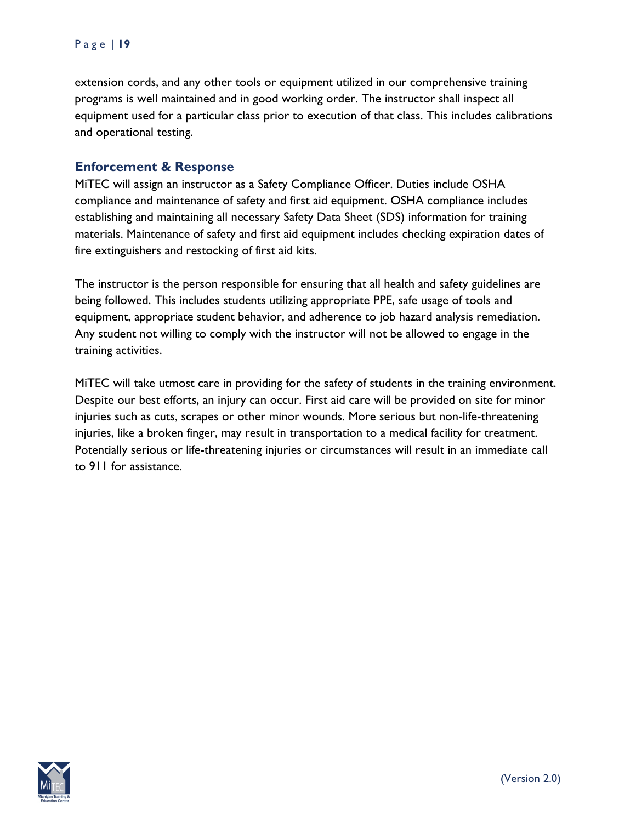extension cords, and any other tools or equipment utilized in our comprehensive training programs is well maintained and in good working order. The instructor shall inspect all equipment used for a particular class prior to execution of that class. This includes calibrations and operational testing.

## <span id="page-19-0"></span>**Enforcement & Response**

MiTEC will assign an instructor as a Safety Compliance Officer. Duties include OSHA compliance and maintenance of safety and first aid equipment. OSHA compliance includes establishing and maintaining all necessary Safety Data Sheet (SDS) information for training materials. Maintenance of safety and first aid equipment includes checking expiration dates of fire extinguishers and restocking of first aid kits.

The instructor is the person responsible for ensuring that all health and safety guidelines are being followed. This includes students utilizing appropriate PPE, safe usage of tools and equipment, appropriate student behavior, and adherence to job hazard analysis remediation. Any student not willing to comply with the instructor will not be allowed to engage in the training activities.

MiTEC will take utmost care in providing for the safety of students in the training environment. Despite our best efforts, an injury can occur. First aid care will be provided on site for minor injuries such as cuts, scrapes or other minor wounds. More serious but non-life-threatening injuries, like a broken finger, may result in transportation to a medical facility for treatment. Potentially serious or life-threatening injuries or circumstances will result in an immediate call to 911 for assistance.